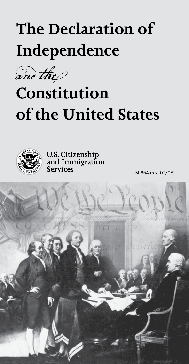# **The Declaration of Independence**

and the  $\!\mathscr{D}$ 

# **Constitution of the United States**



U.S. Citizenship<br>and Immigration<br>Services

M-654 (rev. 07/08)

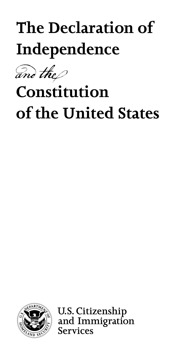# **The Declaration of Independence**



## **Constitution of the United States**



**U.S. Citizenship** and Immigration **Services**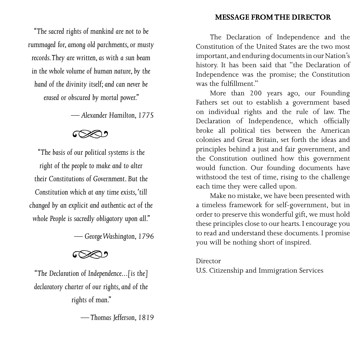#### **Message fromthe Director**

*"The sacred rights of mankind are not to be rummaged for, among old parchments, or musty records. They are written, as with a sun beam in the whole volume of human nature, by the hand of the divinity itself; and can never be erased or obscured by mortal power."* 

*— Alexander Hamilton, 1775*

## ೯೦≫೨

*"The basis of our political systems is the right of the people to make and to alter their Constitutions of Government. But the Constitution which at any time exists, 'till changed by an explicit and authentic act of the whole People is sacredly obligatory upon all."*

*— George Washington, 1796*

*"The Declaration of Independence...[is the] declaratory charter of our rights, and of the rights of man."* 

*— Thomas Jefferson, 1819*

The Declaration of Independence and the Constitution of the United States are the two most important, and enduring documents in our Nation's history. It has been said that "the Declaration of Independence was the promise; the Constitution was the fulfillment."

More than 200 years ago, our Founding Fathers set out to establish a government based on individual rights and the rule of law. The Declaration of Independence, which officially broke all political ties between the American colonies and Great Britain, set forth the ideas and principles behind a just and fair government, and the Constitution outlined how this government would function. Our founding documents have withstood the test of time, rising to the challenge each time they were called upon.

Make no mistake, we have been presented with a timeless framework for self-government, but in order to preserve this wonderful gift, we must hold these principles close to our hearts. I encourage you to read and understand these documents. I promise you will be nothing short of inspired.

#### Director

U.S. Citizenship and Immigration Services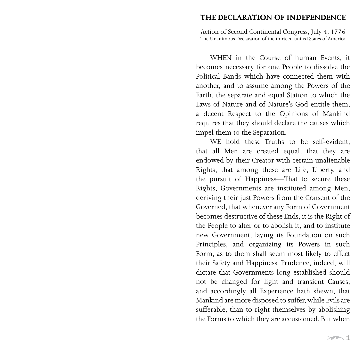#### **The DECLARATION OF InDEPEnDeNCE**

Action of Second Continental Congress, July 4, 1776 The Unanimous Declaration of the thirteen united States of America

WHEN in the Course of human Events, it becomes necessary for one People to dissolve the Political Bands which have connected them with another, and to assume among the Powers of the Earth, the separate and equal Station to which the Laws of Nature and of Nature's God entitle them, a decent Respect to the Opinions of Mankind requires that they should declare the causes which impel them to the Separation.

WE hold these Truths to be self-evident, that all Men are created equal, that they are endowed by their Creator with certain unalienable Rights, that among these are Life, Liberty, and the pursuit of Happiness—That to secure these Rights, Governments are instituted among Men, deriving their just Powers from the Consent of the Governed, that whenever any Form of Government becomes destructive of these Ends, it is the Right of the People to alter or to abolish it, and to institute new Government, laying its Foundation on such Principles, and organizing its Powers in such Form, as to them shall seem most likely to effect their Safety and Happiness. Prudence, indeed, will dictate that Governments long established should not be changed for light and transient Causes; and accordingly all Experience hath shewn, that Mankind are more disposed to suffer, while Evils are sufferable, than to right themselves by abolishing the Forms to which they are accustomed. But when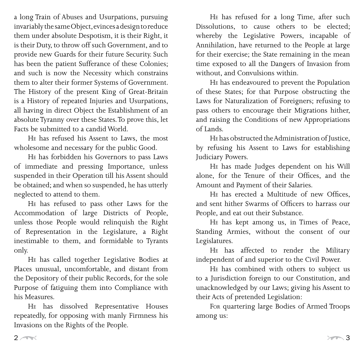a long Train of Abuses and Usurpations, pursuing invariably the same Object, evinces a design to reduce them under absolute Despotism, it is their Right, it is their Duty, to throw off such Government, and to provide new Guards for their future Security. Such has been the patient Sufferance of these Colonies; and such is now the Necessity which constrains them to alter their former Systems of Government. The History of the present King of Great-Britain is a History of repeated Injuries and Usurpations, all having in direct Object the Establishment of an absolute Tyranny over these States. To prove this, let Facts be submitted to a candid World.

He has refused his Assent to Laws, the most wholesome and necessary for the public Good.

He has forbidden his Governors to pass Laws of immediate and pressing Importance, unless suspended in their Operation till his Assent should be obtained; and when so suspended, he has utterly neglected to attend to them.

He has refused to pass other Laws for the Accommodation of large Districts of People, unless those People would relinquish the Right of Representation in the Legislature, a Right inestimable to them, and formidable to Tyrants only.

He has called together Legislative Bodies at Places unusual, uncomfortable, and distant from the Depository of their public Records, for the sole Purpose of fatiguing them into Compliance with his Measures.

He has dissolved Representative Houses repeatedly, for opposing with manly Firmness his Invasions on the Rights of the People.

He has refused for a long Time, after such Dissolutions, to cause others to be elected; whereby the Legislative Powers, incapable of Annihilation, have returned to the People at large for their exercise; the State remaining in the mean time exposed to all the Dangers of Invasion from without, and Convulsions within.

He has endeavoured to prevent the Population of these States; for that Purpose obstructing the Laws for Naturalization of Foreigners; refusing to pass others to encourage their Migrations hither, and raising the Conditions of new Appropriations of Lands.

He has obstructed the Administration of Justice, by refusing his Assent to Laws for establishing Judiciary Powers.

He has made Judges dependent on his Will alone, for the Tenure of their Offices, and the Amount and Payment of their Salaries.

He has erected a Multitude of new Offices, and sent hither Swarms of Officers to harrass our People, and eat out their Substance.

He has kept among us, in Times of Peace, Standing Armies, without the consent of our Legislatures.

He has affected to render the Military independent of and superior to the Civil Power.

He has combined with others to subject us to a Jurisdiction foreign to our Constitution, and unacknowledged by our Laws; giving his Assent to their Acts of pretended Legislation:

For quartering large Bodies of Armed Troops among us: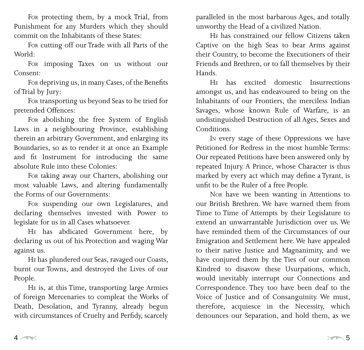For protecting them, by a mock Trial, from Punishment for any Murders which they should commit on the Inhabitants of these States:

For cutting off our Trade with all Parts of the World:

For imposing Taxes on us without our Consent:

For depriving us, in many Cases, of the Benefits of Trial by Jury:

For transporting us beyond Seas to be tried for pretended Offences:

For abolishing the free System of English Laws in a neighbouring Province, establishing therein an arbitrary Government, and enlarging its Boundaries, so as to render it at once an Example and fit Instrument for introducing the same absolute Rule into these Colonies:

For taking away our Charters, abolishing our most valuable Laws, and altering fundamentally the Forms of our Governments:

For suspending our own Legislatures, and declaring themselves invested with Power to legislate for us in all Cases whatsoever.

He has abdicated Government here, by declaring us out of his Protection and waging War against us.

He has plundered our Seas, ravaged our Coasts, burnt our Towns, and destroyed the Lives of our People.

He is, at this Time, transporting large Armies of foreign Mercenaries to compleat the Works of Death, Desolation, and Tyranny, already begun with circumstances of Cruelty and Perfidy, scarcely

paralleled in the most barbarous Ages, and totally unworthy the Head of a civilized Nation.

He has constrained our fellow Citizens taken Captive on the high Seas to bear Arms against their Country, to become the Executioners of their Friends and Brethren, or to fall themselves by their Hands.

He has excited domestic Insurrections amongst us, and has endeavoured to bring on the Inhabitants of our Frontiers, the merciless Indian Savages, whose known Rule of Warfare, is an undistinguished Destruction of all Ages, Sexes and Conditions.

In every stage of these Oppressions we have Petitioned for Redress in the most humble Terms: Our repeated Petitions have been answered only by repeated Injury. A Prince, whose Character is thus marked by every act which may define a Tyrant, is unfit to be the Ruler of a free People.

Nor have we been wanting in Attentions to our British Brethren. We have warned them from Time to Time of Attempts by their Legislature to extend an unwarrantable Jurisdiction over us. We have reminded them of the Circumstances of our Emigration and Settlement here. We have appealed to their native Justice and Magnanimity, and we have conjured them by the Ties of our common Kindred to disavow these Usurpations, which, would inevitably interrupt our Connections and Correspondence. They too have been deaf to the Voice of Justice and of Consanguinity. We must, therefore, acquiesce in the Necessity, which denounces our Separation, and hold them, as we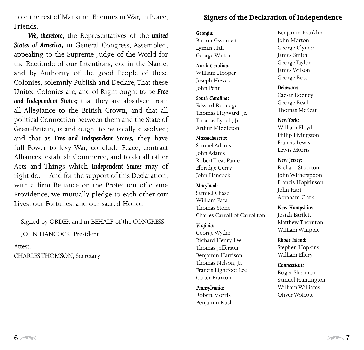hold the rest of Mankind, Enemies in War, in Peace, Friends.

*We, therefore,* the Representatives of the *united States of America,* in General Congress, Assembled, appealing to the Supreme Judge of the World for the Rectitude of our Intentions, do, in the Name, and by Authority of the good People of these Colonies, solemnly Publish and Declare, That these United Colonies are, and of Right ought to be *Free and Independent States;* that they are absolved from all Allegiance to the British Crown, and that all political Connection between them and the State of Great-Britain, is and ought to be totally dissolved; and that as *Free and Independent States,* they have full Power to levy War, conclude Peace, contract Alliances, establish Commerce, and to do all other Acts and Things which *Independent States* may of right do. —And for the support of this Declaration, with a firm Reliance on the Protection of divine Providence, we mutually pledge to each other our Lives, our Fortunes, and our sacred Honor.

Signed by ORDER and in BEHALF of the CONGRESS,

JOHN HANCOCK, President

Attest.

CHARLES THOMSON, Secretary

## **Signers of the Declaration of Independence**

#### *Georgia:*

Button Gwinnett Lyman Hall George Walton

*North Carolina:* William Hooper Joseph Hewes John Penn

*South Carolina:* Edward Rutledge Thomas Heyward, Jr. Thomas Lynch, Jr. Arthur Middleton

#### *Massachusetts:*

Samuel Adams John Adams Robert Treat Paine Elbridge Gerry John Hancock

#### *Maryland:*

Samuel Chase William Paca Thomas Stone Charles Carroll of Carrollton

#### *Virginia:*

George Wythe Richard Henry Lee Thomas Jefferson Benjamin Harrison Thomas Nelson, Jr. Francis Lightfoot Lee Carter Braxton

#### *Pennsylvania:*

Robert Morris Benjamin Rush Benjamin Franklin John Morton George Clymer James Smith George Taylor James Wilson George Ross

#### *Delaware:*

Caesar Rodney George Read Thomas McKean

#### *New York:*

William Floyd Philip Livingston Francis Lewis Lewis Morris

*New Jersey:*

Richard Stockton John Witherspoon Francis Hopkinson John Hart Abraham Clark

*New Hampshire:* Josiah Bartlett Matthew Thornton William Whipple

*Rhode Island:* Stephen Hopkins William Ellery

#### *Connecticut:*

Roger Sherman Samuel Huntington William Williams Oliver Wolcott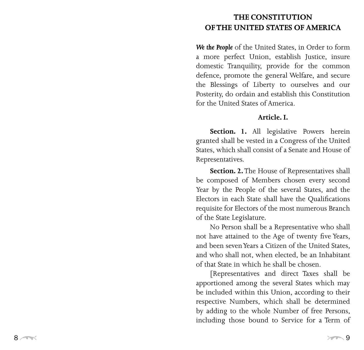## **The Constituti o n OF THE UNITED STATES OF AMERICA**

*We the People* of the United States, in Order to form a more perfect Union, establish Justice, insure domestic Tranquility, provide for the common defence, promote the general Welfare, and secure the Blessings of Liberty to ourselves and our Posterity, do ordain and establish this Constitution for the United States of America.

### **Article. I.**

**Section. 1.** All legislative Powers herein granted shall be vested in a Congress of the United States, which shall consist of a Senate and House of Representatives.

**Section. 2.** The House of Representatives shall be composed of Members chosen every second Year by the People of the several States, and the Electors in each State shall have the Qualifications requisite for Electors of the most numerous Branch of the State Legislature.

No Person shall be a Representative who shall not have attained to the Age of twenty five Years, and been seven Years a Citizen of the United States, and who shall not, when elected, be an Inhabitant of that State in which he shall be chosen.

[Representatives and direct Taxes shall be apportioned among the several States which may be included within this Union, according to their respective Numbers, which shall be determined by adding to the whole Number of free Persons, including those bound to Service for a Term of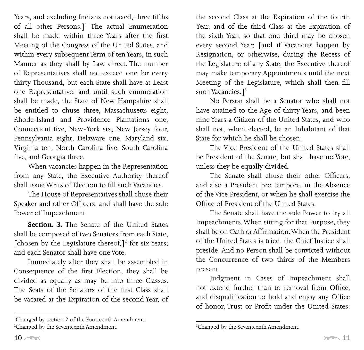Years, and excluding Indians not taxed, three fifths of all other Persons.]<sup>1</sup> The actual Enumeration shall be made within three Years after the first Meeting of the Congress of the United States, and within every subsequent Term of ten Years, in such Manner as they shall by Law direct. The number of Representatives shall not exceed one for every thirty Thousand, but each State shall have at Least one Representative; and until such enumeration shall be made, the State of New Hampshire shall be entitled to chuse three, Massachusetts eight, Rhode-Island and Providence Plantations one, Connecticut five, New-York six, New Jersey four, Pennsylvania eight, Delaware one, Maryland six, Virginia ten, North Carolina five, South Carolina five, and Georgia three.

When vacancies happen in the Representation from any State, the Executive Authority thereof shall issue Writs of Election to fill such Vacancies.

The House of Representatives shall chuse their Speaker and other Officers; and shall have the sole Power of Impeachment.

**Section. 3.** The Senate of the United States shall be composed of two Senators from each State, [chosen by the Legislature thereof,]<sup>2</sup> for six Years; and each Senator shall have one Vote.

Immediately after they shall be assembled in Consequence of the first Election, they shall be divided as equally as may be into three Classes. The Seats of the Senators of the first Class shall be vacated at the Expiration of the second Year, of

the second Class at the Expiration of the fourth Year, and of the third Class at the Expiration of the sixth Year, so that one third may be chosen every second Year; [and if Vacancies happen by Resignation, or otherwise, during the Recess of the Legislature of any State, the Executive thereof may make temporary Appointments until the next Meeting of the Legislature, which shall then fill such Vacancies.<sup>73</sup>

No Person shall be a Senator who shall not have attained to the Age of thirty Years, and been nine Years a Citizen of the United States, and who shall not, when elected, be an Inhabitant of that State for which he shall be chosen.

The Vice President of the United States shall be President of the Senate, but shall have no Vote, unless they be equally divided.

The Senate shall chuse their other Officers, and also a President pro tempore, in the Absence of the Vice President, or when he shall exercise the Office of President of the United States.

The Senate shall have the sole Power to try all Impeachments. When sitting for that Purpose, they shall be on Oath or Affirmation. When the President of the United States is tried, the Chief Justice shall preside: And no Person shall be convicted without the Concurrence of two thirds of the Members present.

Judgment in Cases of Impeachment shall not extend further than to removal from Office, and disqualification to hold and enjoy any Office of honor, Trust or Profit under the United States:

Changed by section 2 of the Fourteenth Amendment.

<sup>&</sup>lt;sup>2</sup>Changed by the Seventeenth Amendment.

<sup>&</sup>lt;sup>3</sup>Changed by the Seventeenth Amendment.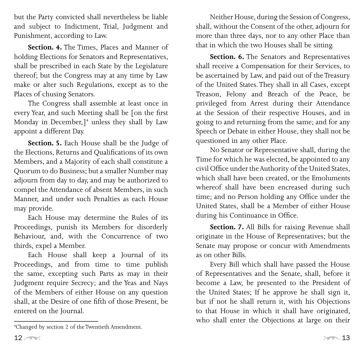but the Party convicted shall nevertheless be liable and subject to Indictment, Trial, Judgment and Punishment, according to Law.

**Section. 4.** The Times, Places and Manner of holding Elections for Senators and Representatives, shall be prescribed in each State by the Legislature thereof; but the Congress may at any time by Law make or alter such Regulations, except as to the Places of chusing Senators.

The Congress shall assemble at least once in every Year, and such Meeting shall be [on the first Monday in December,  $]$ <sup>4</sup> unless they shall by Law appoint a different Day.

**Section. 5.** Each House shall be the Judge of the Elections, Returns and Qualifications of its own Members, and a Majority of each shall constitute a Quorum to do Business; but a smaller Number may adjourn from day to day, and may be authorized to compel the Attendance of absent Members, in such Manner, and under such Penalties as each House may provide.

Each House may determine the Rules of its Proceedings, punish its Members for disorderly Behaviour, and, with the Concurrence of two thirds, expel a Member.

Each House shall keep a Journal of its Proceedings, and from time to time publish the same, excepting such Parts as may in their Judgment require Secrecy; and the Yeas and Nays of the Members of either House on any question shall, at the Desire of one fifth of those Present, be entered on the Journal.

Neither House, during the Session of Congress, shall, without the Consent of the other, adjourn for more than three days, nor to any other Place than that in which the two Houses shall be sitting.

**Section. 6.** The Senators and Representatives shall receive a Compensation for their Services, to be ascertained by Law, and paid out of the Treasury of the United States. They shall in all Cases, except Treason, Felony and Breach of the Peace, be privileged from Arrest during their Attendance at the Session of their respective Houses, and in going to and returning from the same; and for any Speech or Debate in either House, they shall not be questioned in any other Place.

No Senator or Representative shall, during the Time for which he was elected, be appointed to any civil Office under the Authority of the United States, which shall have been created, or the Emoluments whereof shall have been encreased during such time; and no Person holding any Office under the United States, shall be a Member of either House during his Continuance in Office.

**Section. 7.** All Bills for raising Revenue shall originate in the House of Representatives; but the Senate may propose or concur with Amendments as on other Bills.

Every Bill which shall have passed the House of Representatives and the Senate, shall, before it become a Law, be presented to the President of the United States; If he approve he shall sign it, but if not he shall return it, with his Objections to that House in which it shall have originated, who shall enter the Objections at large on their

Changed by section 2 of the Twentieth Amendment.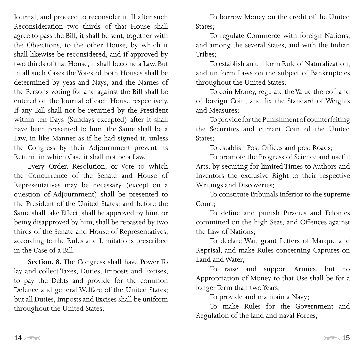Journal, and proceed to reconsider it. If after such Reconsideration two thirds of that House shall agree to pass the Bill, it shall be sent, together with the Objections, to the other House, by which it shall likewise be reconsidered, and if approved by two thirds of that House, it shall become a Law. But in all such Cases the Votes of both Houses shall be determined by yeas and Nays, and the Names of the Persons voting for and against the Bill shall be entered on the Journal of each House respectively. If any Bill shall not be returned by the President within ten Days (Sundays excepted) after it shall have been presented to him, the Same shall be a Law, in like Manner as if he had signed it, unless the Congress by their Adjournment prevent its Return, in which Case it shall not be a Law.

Every Order, Resolution, or Vote to which the Concurrence of the Senate and House of Representatives may be necessary (except on a question of Adjournment) shall be presented to the President of the United States; and before the Same shall take Effect, shall be approved by him, or being disapproved by him, shall be repassed by two thirds of the Senate and House of Representatives, according to the Rules and Limitations prescribed in the Case of a Bill.

**Section. 8.** The Congress shall have Power To lay and collect Taxes, Duties, Imposts and Excises, to pay the Debts and provide for the common Defence and general Welfare of the United States; but all Duties, Imposts and Excises shall be uniform throughout the United States;

To borrow Money on the credit of the United States;

To regulate Commerce with foreign Nations, and among the several States, and with the Indian Tribes;

To establish an uniform Rule of Naturalization, and uniform Laws on the subject of Bankruptcies throughout the United States;

To coin Money, regulate the Value thereof, and of foreign Coin, and fix the Standard of Weights and Measures;

To provide for the Punishment of counterfeiting the Securities and current Coin of the United States;

To establish Post Offices and post Roads;

To promote the Progress of Science and useful Arts, by securing for limited Times to Authors and Inventors the exclusive Right to their respective Writings and Discoveries;

To constitute Tribunals inferior to the supreme Court;

To define and punish Piracies and Felonies committed on the high Seas, and Offences against the Law of Nations;

To declare War, grant Letters of Marque and Reprisal, and make Rules concerning Captures on Land and Water;

To raise and support Armies, but no Appropriation of Money to that Use shall be for a longer Term than two Years;

To provide and maintain a Navy;

To make Rules for the Government and Regulation of the land and naval Forces;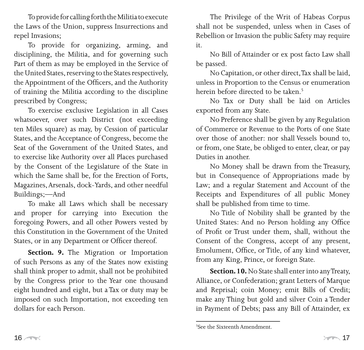To provide for calling forth the Militia to execute the Laws of the Union, suppress Insurrections and repel Invasions;

To provide for organizing, arming, and disciplining, the Militia, and for governing such Part of them as may be employed in the Service of the United States, reserving to the States respectively, the Appointment of the Officers, and the Authority of training the Militia according to the discipline prescribed by Congress;

To exercise exclusive Legislation in all Cases whatsoever, over such District (not exceeding ten Miles square) as may, by Cession of particular States, and the Acceptance of Congress, become the Seat of the Government of the United States, and to exercise like Authority over all Places purchased by the Consent of the Legislature of the State in which the Same shall be, for the Erection of Forts, Magazines, Arsenals, dock-Yards, and other needful Buildings;—And

To make all Laws which shall be necessary and proper for carrying into Execution the foregoing Powers, and all other Powers vested by this Constitution in the Government of the United States, or in any Department or Officer thereof.

**Section. 9.** The Migration or Importation of such Persons as any of the States now existing shall think proper to admit, shall not be prohibited by the Congress prior to the Year one thousand eight hundred and eight, but a Tax or duty may be imposed on such Importation, not exceeding ten dollars for each Person.

The Privilege of the Writ of Habeas Corpus shall not be suspended, unless when in Cases of Rebellion or Invasion the public Safety may require it.

No Bill of Attainder or ex post facto Law shall be passed.

No Capitation, or other direct, Tax shall be laid, unless in Proportion to the Census or enumeration herein before directed to be taken.

No Tax or Duty shall be laid on Articles exported from any State.

No Preference shall be given by any Regulation of Commerce or Revenue to the Ports of one State over those of another: nor shall Vessels bound to, or from, one State, be obliged to enter, clear, or pay Duties in another.

No Money shall be drawn from the Treasury, but in Consequence of Appropriations made by Law; and a regular Statement and Account of the Receipts and Expenditures of all public Money shall be published from time to time.

No Title of Nobility shall be granted by the United States: And no Person holding any Office of Profit or Trust under them, shall, without the Consent of the Congress, accept of any present, Emolument, Office, or Title, of any kind whatever, from any King, Prince, or foreign State.

**Section. 10.** No State shall enter into any Treaty, Alliance, or Confederation; grant Letters of Marque and Reprisal; coin Money; emit Bills of Credit; make any Thing but gold and silver Coin a Tender in Payment of Debts; pass any Bill of Attainder, ex

See the Sixteenth Amendment.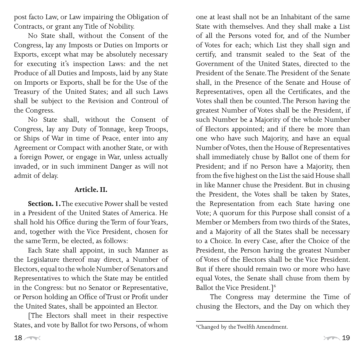post facto Law, or Law impairing the Obligation of Contracts, or grant any Title of Nobility.

No State shall, without the Consent of the Congress, lay any Imposts or Duties on Imports or Exports, except what may be absolutely necessary for executing it's inspection Laws: and the net Produce of all Duties and Imposts, laid by any State on Imports or Exports, shall be for the Use of the Treasury of the United States; and all such Laws shall be subject to the Revision and Controul of the Congress.

No State shall, without the Consent of Congress, lay any Duty of Tonnage, keep Troops, or Ships of War in time of Peace, enter into any Agreement or Compact with another State, or with a foreign Power, or engage in War, unless actually invaded, or in such imminent Danger as will not admit of delay.

## **Article. II.**

**Section. 1.** The executive Power shall be vested in a President of the United States of America. He shall hold his Office during the Term of four Years, and, together with the Vice President, chosen for the same Term, be elected, as follows:

Each State shall appoint, in such Manner as the Legislature thereof may direct, a Number of Electors, equal to the whole Number of Senators and Representatives to which the State may be entitled in the Congress: but no Senator or Representative, or Person holding an Office of Trust or Profit under the United States, shall be appointed an Elector.

[The Electors shall meet in their respective States, and vote by Ballot for two Persons, of whom one at least shall not be an Inhabitant of the same State with themselves. And they shall make a List of all the Persons voted for, and of the Number of Votes for each; which List they shall sign and certify, and transmit sealed to the Seat of the Government of the United States, directed to the President of the Senate. The President of the Senate shall, in the Presence of the Senate and House of Representatives, open all the Certificates, and the Votes shall then be counted. The Person having the greatest Number of Votes shall be the President, if such Number be a Majority of the whole Number of Electors appointed; and if there be more than one who have such Majority, and have an equal Number of Votes, then the House of Representatives shall immediately chuse by Ballot one of them for President; and if no Person have a Majority, then from the five highest on the List the said House shall in like Manner chuse the President. But in chusing the President, the Votes shall be taken by States, the Representation from each State having one Vote; A quorum for this Purpose shall consist of a Member or Members from two thirds of the States, and a Majority of all the States shall be necessary to a Choice. In every Case, after the Choice of the President, the Person having the greatest Number of Votes of the Electors shall be the Vice President. But if there should remain two or more who have equal Votes, the Senate shall chuse from them by Ballot the Vice President.<sup>16</sup>

The Congress may determine the Time of chusing the Electors, and the Day on which they

Changed by the Twelfth Amendment.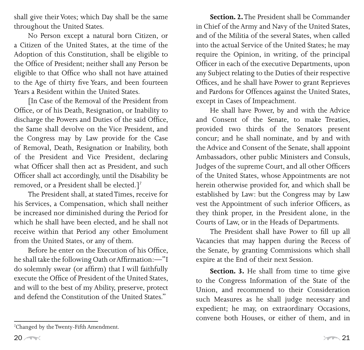shall give their Votes; which Day shall be the same throughout the United States.

No Person except a natural born Citizen, or a Citizen of the United States, at the time of the Adoption of this Constitution, shall be eligible to the Office of President; neither shall any Person be eligible to that Office who shall not have attained to the Age of thirty five Years, and been fourteen Years a Resident within the United States.

[In Case of the Removal of the President from Office, or of his Death, Resignation, or Inability to discharge the Powers and Duties of the said Office, the Same shall devolve on the Vice President, and the Congress may by Law provide for the Case of Removal, Death, Resignation or Inability, both of the President and Vice President, declaring what Officer shall then act as President, and such Officer shall act accordingly, until the Disability be removed, or a President shall be elected.]<sup>7</sup>

The President shall, at stated Times, receive for his Services, a Compensation, which shall neither be increased nor diminished during the Period for which he shall have been elected, and he shall not receive within that Period any other Emolument from the United States, or any of them.

Before he enter on the Execution of his Office, he shall take the following Oath or Affirmation:—"I do solemnly swear (or affirm) that I will faithfully execute the Office of President of the United States, and will to the best of my Ability, preserve, protect and defend the Constitution of the United States."

**Section. 2.** The President shall be Commander in Chief of the Army and Navy of the United States, and of the Militia of the several States, when called into the actual Service of the United States; he may require the Opinion, in writing, of the principal Officer in each of the executive Departments, upon any Subject relating to the Duties of their respective Offices, and he shall have Power to grant Reprieves and Pardons for Offences against the United States, except in Cases of Impeachment.

He shall have Power, by and with the Advice and Consent of the Senate, to make Treaties, provided two thirds of the Senators present concur; and he shall nominate, and by and with the Advice and Consent of the Senate, shall appoint Ambassadors, other public Ministers and Consuls, Judges of the supreme Court, and all other Officers of the United States, whose Appointments are not herein otherwise provided for, and which shall be established by Law: but the Congress may by Law vest the Appointment of such inferior Officers, as they think proper, in the President alone, in the Courts of Law, or in the Heads of Departments.

The President shall have Power to fill up all Vacancies that may happen during the Recess of the Senate, by granting Commissions which shall expire at the End of their next Session.

**Section. 3.** He shall from time to time give to the Congress Information of the State of the Union, and recommend to their Consideration such Measures as he shall judge necessary and expedient; he may, on extraordinary Occasions, convene both Houses, or either of them, and in

Changed by the Twenty-Fifth Amendment.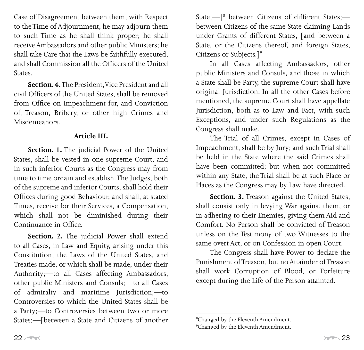Case of Disagreement between them, with Respect to the Time of Adjournment, he may adjourn them to such Time as he shall think proper; he shall receive Ambassadors and other public Ministers; he shall take Care that the Laws be faithfully executed, and shall Commission all the Officers of the United States.

**Section. 4.**The President, Vice President and all civil Officers of the United States, shall be removed from Office on Impeachment for, and Conviction of, Treason, Bribery, or other high Crimes and Misdemeanors.

#### **Article III.**

**Section. 1.** The judicial Power of the United States, shall be vested in one supreme Court, and in such inferior Courts as the Congress may from time to time ordain and establish. The Judges, both of the supreme and inferior Courts, shall hold their Offices during good Behaviour, and shall, at stated Times, receive for their Services, a Compensation, which shall not be diminished during their Continuance in Office.

**Section. 2.** The judicial Power shall extend to all Cases, in Law and Equity, arising under this Constitution, the Laws of the United States, and Treaties made, or which shall be made, under their Authority;—to all Cases affecting Ambassadors, other public Ministers and Consuls;—to all Cases of admiralty and maritime Jurisdiction;—to Controversies to which the United States shall be a Party;—to Controversies between two or more States;—[between a State and Citizens of another

State;—] between Citizens of different States; between Citizens of the same State claiming Lands under Grants of different States, [and between a State, or the Citizens thereof, and foreign States, Citizens or Subjects.]

In all Cases affecting Ambassadors, other public Ministers and Consuls, and those in which a State shall be Party, the supreme Court shall have original Jurisdiction. In all the other Cases before mentioned, the supreme Court shall have appellate Jurisdiction, both as to Law and Fact, with such Exceptions, and under such Regulations as the Congress shall make.

The Trial of all Crimes, except in Cases of Impeachment, shall be by Jury; and such Trial shall be held in the State where the said Crimes shall have been committed; but when not committed within any State, the Trial shall be at such Place or Places as the Congress may by Law have directed.

**Section. 3.** Treason against the United States, shall consist only in levying War against them, or in adhering to their Enemies, giving them Aid and Comfort. No Person shall be convicted of Treason unless on the Testimony of two Witnesses to the same overt Act, or on Confession in open Court.

The Congress shall have Power to declare the Punishment of Treason, but no Attainder of Treason shall work Corruption of Blood, or Forfeiture except during the Life of the Person attainted.

Changed by the Eleventh Amendment.

<sup>&</sup>lt;sup>9</sup>Changed by the Eleventh Amendment.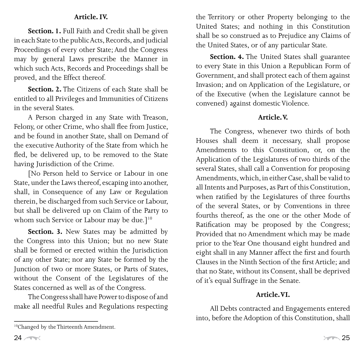## **Article. IV.**

**Section. 1.** Full Faith and Credit shall be given in each State to the public Acts, Records, and judicial Proceedings of every other State; And the Congress may by general Laws prescribe the Manner in which such Acts, Records and Proceedings shall be proved, and the Effect thereof.

**Section. 2.** The Citizens of each State shall be entitled to all Privileges and Immunities of Citizens in the several States.

A Person charged in any State with Treason, Felony, or other Crime, who shall flee from Justice, and be found in another State, shall on Demand of the executive Authority of the State from which he fled, be delivered up, to be removed to the State having Jurisdiction of the Crime.

[No Person held to Service or Labour in one State, under the Laws thereof, escaping into another, shall, in Consequence of any Law or Regulation therein, be discharged from such Service or Labour, but shall be delivered up on Claim of the Party to whom such Service or Labour may be due.]<sup>10</sup>

**Section. 3.** New States may be admitted by the Congress into this Union; but no new State shall be formed or erected within the Jurisdiction of any other State; nor any State be formed by the Junction of two or more States, or Parts of States, without the Consent of the Legislatures of the States concerned as well as of the Congress.

The Congress shall have Power to dispose of and make all needful Rules and Regulations respecting

the Territory or other Property belonging to the United States; and nothing in this Constitution shall be so construed as to Prejudice any Claims of the United States, or of any particular State.

**Section. 4.** The United States shall guarantee to every State in this Union a Republican Form of Government, and shall protect each of them against Invasion; and on Application of the Legislature, or of the Executive (when the Legislature cannot be convened) against domestic Violence.

## **Article. V.**

The Congress, whenever two thirds of both Houses shall deem it necessary, shall propose Amendments to this Constitution, or, on the Application of the Legislatures of two thirds of the several States, shall call a Convention for proposing Amendments, which, in either Case, shall be valid to all Intents and Purposes, as Part of this Constitution, when ratified by the Legislatures of three fourths of the several States, or by Conventions in three fourths thereof, as the one or the other Mode of Ratification may be proposed by the Congress; Provided that no Amendment which may be made prior to the Year One thousand eight hundred and eight shall in any Manner affect the first and fourth Clauses in the Ninth Section of the first Article; and that no State, without its Consent, shall be deprived of it's equal Suffrage in the Senate.

## **Article. VI.**

All Debts contracted and Engagements entered into, before the Adoption of this Constitution, shall

<sup>10</sup>Changed by the Thirteenth Amendment.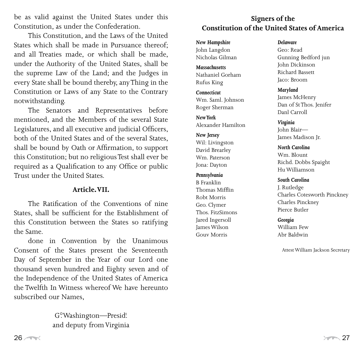be as valid against the United States under this Constitution, as under the Confederation.

This Constitution, and the Laws of the United States which shall be made in Pursuance thereof; and all Treaties made, or which shall be made, under the Authority of the United States, shall be the supreme Law of the Land; and the Judges in every State shall be bound thereby, any Thing in the Constitution or Laws of any State to the Contrary notwithstanding.

The Senators and Representatives before mentioned, and the Members of the several State Legislatures, and all executive and judicial Officers, both of the United States and of the several States, shall be bound by Oath or Affirmation, to support this Constitution; but no religious Test shall ever be required as a Qualification to any Office or public Trust under the United States.

#### **Article. VII.**

The Ratification of the Conventions of nine States, shall be sufficient for the Establishment of this Constitution between the States so ratifying the Same.

done in Convention by the Unanimous Consent of the States present the Seventeenth Day of September in the Year of our Lord one thousand seven hundred and Eighty seven and of the Independence of the United States of America the Twelfth In Witness whereof We have hereunto subscribed our Names,

> G<sup>o</sup>. Washington—Presid! and deputy from Virginia

## **Signers of the Constitution of the United States of America**

*New Hampshire* John Langdon Nicholas Gilman

*Massachusetts* Nathaniel Gorham Rufus King

*Connecticut* Wm. Saml. Johnson Roger Sherman

*New York* Alexander Hamilton

*New Jersey* Wil: Livingston David Brearley Wm. Paterson Jona: Dayton

#### *Pennsylvania*

B Franklin Thomas Mifflin Robt Morris Geo. Clymer Thos. FitzSimons Jared Ingersoll James Wilson Gouv Morris

#### *Delaware*

Geo: Read Gunning Bedford jun John Dickinson Richard Bassett Jaco: Broom

*Maryland* James McHenry Dan of St Thos. Jenifer Danl Carroll

#### *Virginia*

John Blair— James Madison Jr.

*North Carolina*

Wm. Blount Richd. Dobbs Spaight Hu Williamson

#### *South Carolina*

J. Rutledge Charles Cotesworth Pinckney Charles Pinckney Pierce Butler

#### *Georgia*

William Few Abr Baldwin

Attest William Jackson Secretary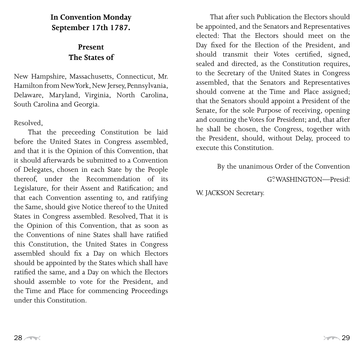## **In Convention Monday September 17th 1787.**

## **Present The States of**

New Hampshire, Massachusetts, Connecticut, Mr. Hamilton from New York, New Jersey, Pennsylvania, Delaware, Maryland, Virginia, North Carolina, South Carolina and Georgia.

## Resolved,

That the preceeding Constitution be laid before the United States in Congress assembled, and that it is the Opinion of this Convention, that it should afterwards be submitted to a Convention of Delegates, chosen in each State by the People thereof, under the Recommendation of its Legislature, for their Assent and Ratification; and that each Convention assenting to, and ratifying the Same, should give Notice thereof to the United States in Congress assembled. Resolved, That it is the Opinion of this Convention, that as soon as the Conventions of nine States shall have ratified this Constitution, the United States in Congress assembled should fix a Day on which Electors should be appointed by the States which shall have ratified the same, and a Day on which the Electors should assemble to vote for the President, and the Time and Place for commencing Proceedings under this Constitution.

That after such Publication the Electors should be appointed, and the Senators and Representatives elected: That the Electors should meet on the Day fixed for the Election of the President, and should transmit their Votes certified, signed, sealed and directed, as the Constitution requires, to the Secretary of the United States in Congress assembled, that the Senators and Representatives should convene at the Time and Place assigned; that the Senators should appoint a President of the Senate, for the sole Purpose of receiving, opening and counting the Votes for President; and, that after he shall be chosen, the Congress, together with the President, should, without Delay, proceed to execute this Constitution.

By the unanimous Order of the Convention

G°. WASHINGTON—Presid!

W. JACKSON Secretary.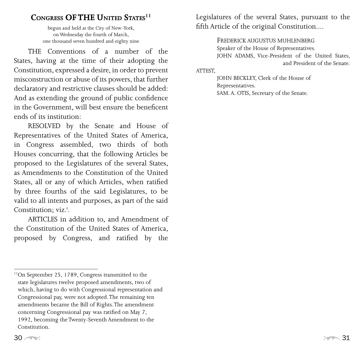## **CONGRESS OF THE UNITED STATES<sup>11</sup>**

begun and held at the City of New-York, on Wednesday the fourth of March, one thousand seven hundred and eighty nine

THE Conventions of a number of the States, having at the time of their adopting the Constitution, expressed a desire, in order to prevent misconstruction or abuse of its powers, that further declaratory and restrictive clauses should be added: And as extending the ground of public confidence in the Government, will best ensure the beneficent ends of its institution:

RESOLVED by the Senate and House of Representatives of the United States of America, in Congress assembled, two thirds of both Houses concurring, that the following Articles be proposed to the Legislatures of the several States, as Amendments to the Constitution of the United States, all or any of which Articles, when ratified by three fourths of the said Legislatures, to be valid to all intents and purposes, as part of the said Constitution; viz.<sup>t</sup>.

ARTICLES in addition to, and Amendment of the Constitution of the United States of America, proposed by Congress, and ratified by the

Legislatures of the several States, pursuant to the fifth Article of the original Constitution....

> FREDERICK AUGUSTUS MUHLENBERG Speaker of the House of Representatives. JOHN ADAMS, Vice-President of the United States, and President of the Senate.

#### ATTEST,

 JOHN BECKLEY, Clerk of the House of Representatives. SAM. A. OTIS, Secretary of the Senate.

<sup>11</sup>On September 25, 1789, Congress transmitted to the state legislatures twelve proposed amendments, two of which, having to do with Congressional representation and Congressional pay, were not adopted. The remaining ten amendments became the Bill of Rights. The amendment concerning Congressional pay was ratified on May 7, 1992, becoming the Twenty-Seventh Amendment to the Constitution.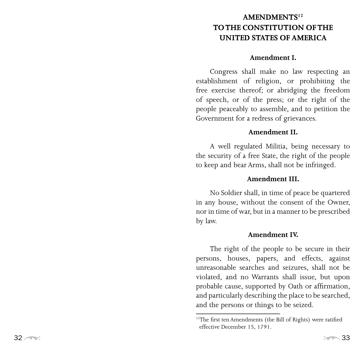## $AMENDMENTS<sup>12</sup>$ **to the Constituti o n of the UNITED STATES OF AMERICA**

#### **Amendment I.**

Congress shall make no law respecting an establishment of religion, or prohibiting the free exercise thereof; or abridging the freedom of speech, or of the press; or the right of the people peaceably to assemble, and to petition the Government for a redress of grievances.

#### **Amendment II.**

A well regulated Militia, being necessary to the security of a free State, the right of the people to keep and bear Arms, shall not be infringed.

## **Amendment III.**

No Soldier shall, in time of peace be quartered in any house, without the consent of the Owner, nor in time of war, but in a manner to be prescribed by law.

## **Amendment IV.**

The right of the people to be secure in their persons, houses, papers, and effects, against unreasonable searches and seizures, shall not be violated, and no Warrants shall issue, but upon probable cause, supported by Oath or affirmation, and particularly describing the place to be searched, and the persons or things to be seized.

<sup>&</sup>lt;sup>12</sup>The first ten Amendments (the Bill of Rights) were ratified effective December 1 5, 17 91.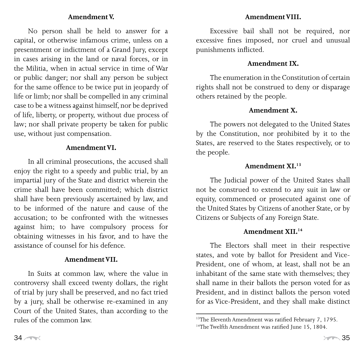## **Amendment V.**

No person shall be held to answer for a capital, or otherwise infamous crime, unless on a presentment or indictment of a Grand Jury, except in cases arising in the land or naval forces, or in the Militia, when in actual service in time of War or public danger; nor shall any person be subject for the same offence to be twice put in jeopardy of life or limb; nor shall be compelled in any criminal case to be a witness against himself, nor be deprived of life, liberty, or property, without due process of law; nor shall private property be taken for public use, without just compensation.

#### **Amendment VI.**

In all criminal prosecutions, the accused shall enjoy the right to a speedy and public trial, by an impartial jury of the State and district wherein the crime shall have been committed; which district shall have been previously ascertained by law, and to be informed of the nature and cause of the accusation; to be confronted with the witnesses against him; to have compulsory process for obtaining witnesses in his favor, and to have the assistance of counsel for his defence.

#### **Amendment VII.**

In Suits at common law, where the value in controversy shall exceed twenty dollars, the right of trial by jury shall be preserved, and no fact tried by a jury, shall be otherwise re-examined in any Court of the United States, than according to the rules of the common law.

## **Amendment VIII.**

Excessive bail shall not be required, nor excessive fines imposed, nor cruel and unusual punishments inflicted.

#### **Amendment IX.**

The enumeration in the Constitution of certain rights shall not be construed to deny or disparage others retained by the people.

### **Amendment X.**

The powers not delegated to the United States by the Constitution, nor prohibited by it to the States, are reserved to the States respectively, or to the people.

#### **Amendment XI.13**

The Judicial power of the United States shall not be construed to extend to any suit in law or equity, commenced or prosecuted against one of the United States by Citizens of another State, or by Citizens or Subjects of any Foreign State.

#### **Amendment XII.14**

The Electors shall meet in their respective states, and vote by ballot for President and Vice-President, one of whom, at least, shall not be an inhabitant of the same state with themselves; they shall name in their ballots the person voted for as President, and in distinct ballots the person voted for as Vice-President, and they shall make distinct

<sup>13</sup> The Eleventh Amendment was ratified February 7, 1795.

<sup>&</sup>lt;sup>14</sup>The Twelfth Amendment was ratified June 15, 1804.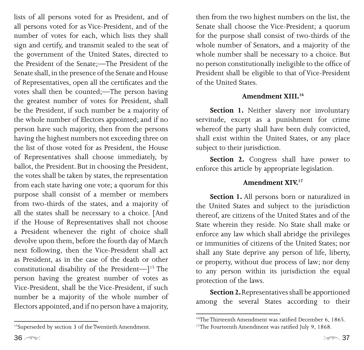lists of all persons voted for as President, and of all persons voted for as Vice-President, and of the number of votes for each, which lists they shall sign and certify, and transmit sealed to the seat of the government of the United States, directed to the President of the Senate;—The President of the Senate shall, in the presence of the Senate and House of Representatives, open all the certificates and the votes shall then be counted;—The person having the greatest number of votes for President, shall be the President, if such number be a majority of the whole number of Electors appointed; and if no person have such majority, then from the persons having the highest numbers not exceeding three on the list of those voted for as President, the House of Representatives shall choose immediately, by ballot, the President. But in choosing the President, the votes shall be taken by states, the representation from each state having one vote; a quorum for this purpose shall consist of a member or members from two-thirds of the states, and a majority of all the states shall be necessary to a choice. [And if the House of Representatives shall not choose a President whenever the right of choice shall devolve upon them, before the fourth day of March next following, then the Vice-President shall act as President, as in the case of the death or other constitutional disability of the President $-$ ]<sup>15</sup> The person having the greatest number of votes as Vice-President, shall be the Vice-President, if such number be a majority of the whole number of Electors appointed, and if no person have a majority,

then from the two highest numbers on the list, the Senate shall choose the Vice-President; a quorum for the purpose shall consist of two-thirds of the whole number of Senators, and a majority of the whole number shall be necessary to a choice. But no person constitutionally ineligible to the office of President shall be eligible to that of Vice-President of the United States.

### **Amendment XIII.16**

**Section 1.** Neither slavery nor involuntary servitude, except as a punishment for crime whereof the party shall have been duly convicted, shall exist within the United States, or any place subject to their jurisdiction.

**Section 2.** Congress shall have power to enforce this article by appropriate legislation.

## **Amendment XIV.17**

**Section 1.** All persons born or naturalized in the United States and subject to the jurisdiction thereof, are citizens of the United States and of the State wherein they reside. No State shall make or enforce any law which shall abridge the privileges or immunities of citizens of the United States; nor shall any State deprive any person of life, liberty, or property, without due process of law; nor deny to any person within its jurisdiction the equal protection of the laws.

**Section 2.** Representatives shall be apportioned among the several States according to their

<sup>15</sup> Superseded by section 3 of the Twentieth Amendment.

<sup>&</sup>lt;sup>16</sup>The Thirteenth Amendment was ratified December 6, 1865.

<sup>&</sup>lt;sup>17</sup>The Fourteenth Amendment was ratified July 9, 1868.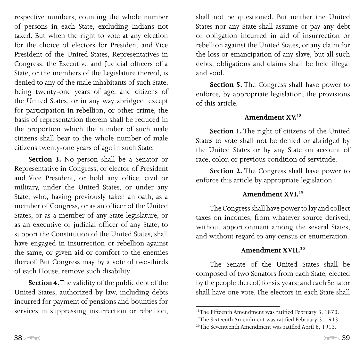respective numbers, counting the whole number of persons in each State, excluding Indians not taxed. But when the right to vote at any election for the choice of electors for President and Vice President of the United States, Representatives in Congress, the Executive and Judicial officers of a State, or the members of the Legislature thereof, is denied to any of the male inhabitants of such State, being twenty-one years of age, and citizens of the United States, or in any way abridged, except for participation in rebellion, or other crime, the basis of representation therein shall be reduced in the proportion which the number of such male citizens shall bear to the whole number of male citizens twenty-one years of age in such State.

**Section 3.** No person shall be a Senator or Representative in Congress, or elector of President and Vice President, or hold any office, civil or military, under the United States, or under any State, who, having previously taken an oath, as a member of Congress, or as an officer of the United States, or as a member of any State legislature, or as an executive or judicial officer of any State, to support the Constitution of the United States, shall have engaged in insurrection or rebellion against the same, or given aid or comfort to the enemies thereof. But Congress may by a vote of two-thirds of each House, remove such disability.

**Section 4.** The validity of the public debt of the United States, authorized by law, including debts incurred for payment of pensions and bounties for services in suppressing insurrection or rebellion, shall not be questioned. But neither the United States nor any State shall assume or pay any debt or obligation incurred in aid of insurrection or rebellion against the United States, or any claim for the loss or emancipation of any slave; but all such debts, obligations and claims shall be held illegal and void.

**Section 5.** The Congress shall have power to enforce, by appropriate legislation, the provisions of this article.

#### **Amendment XV.18**

**Section 1.** The right of citizens of the United States to vote shall not be denied or abridged by the United States or by any State on account of race, color, or previous condition of servitude.

**Section 2.** The Congress shall have power to enforce this article by appropriate legislation.

#### **Amendment XVI.19**

The Congress shall have power to lay and collect taxes on incomes, from whatever source derived, without apportionment among the several States, and without regard to any census or enumeration.

#### **Amendment XVII.20**

The Senate of the United States shall be composed of two Senators from each State, elected by the people thereof, for six years; and each Senator shall have one vote. The electors in each State shall

<sup>18</sup> The Fifteenth Amendment was ratified February 3, 1870.

<sup>19</sup> The Sixteenth Amendment was ratified February 3, 1913.

<sup>20</sup>The Seventeenth Amendment was ratified April 8, 1913.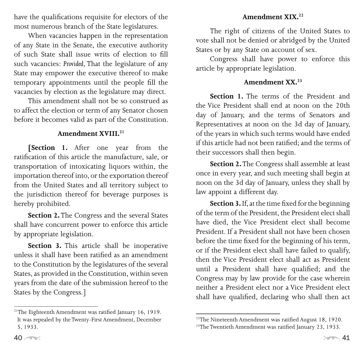have the qualifications requisite for electors of the most numerous branch of the State legislatures.

When vacancies happen in the representation of any State in the Senate, the executive authority of such State shall issue writs of election to fill such vacancies: *Provided,* That the legislature of any State may empower the executive thereof to make temporary appointments until the people fill the vacancies by election as the legislature may direct.

This amendment shall not be so construed as to affect the election or term of any Senator chosen before it becomes valid as part of the Constitution.

### **Amendment XVIII.21**

**[Section 1.** After one year from the ratification of this article the manufacture, sale, or transportation of intoxicating liquors within, the importation thereof into, or the exportation thereof from the United States and all territory subject to the jurisdiction thereof for beverage purposes is hereby prohibited.

**Section 2.** The Congress and the several States shall have concurrent power to enforce this article by appropriate legislation.

**Section 3.** This article shall be inoperative unless it shall have been ratified as an amendment to the Constitution by the legislatures of the several States, as provided in the Constitution, within seven years from the date of the submission hereof to the States by the Congress.]

The right of citizens of the United States to vote shall not be denied or abridged by the United States or by any State on account of sex.

Congress shall have power to enforce this article by appropriate legislation.

## **Amendment XX.23**

**Section 1.** The terms of the President and the Vice President shall end at noon on the 20th day of January, and the terms of Senators and Representatives at noon on the 3d day of January, of the years in which such terms would have ended if this article had not been ratified; and the terms of their successors shall then begin.

**Section 2.** The Congress shall assemble at least once in every year, and such meeting shall begin at noon on the 3d day of January, unless they shall by law appoint a different day.

**Section 3.** If, at the time fixed for the beginning of the term of the President, the President elect shall have died, the Vice President elect shall become President. If a President shall not have been chosen before the time fixed for the beginning of his term, or if the President elect shall have failed to qualify, then the Vice President elect shall act as President until a President shall have qualified; and the Congress may by law provide for the case wherein neither a President elect nor a Vice President elect shall have qualified, declaring who shall then act

<sup>&</sup>lt;sup>21</sup>The Eighteenth Amendment was ratified January 16, 1919. It was repealed by the Twenty-First Amendment, December 5, 1933.

<sup>&</sup>lt;sup>22</sup>The Nineteenth Amendment was ratified August 18, 1920.

<sup>&</sup>lt;sup>23</sup>The Twentieth Amendment was ratified January 23, 1933.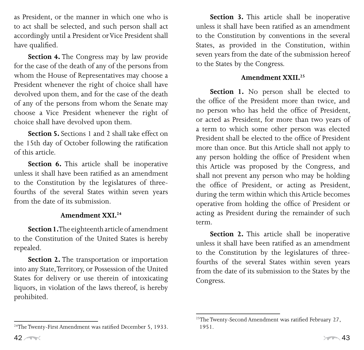as President, or the manner in which one who is to act shall be selected, and such person shall act accordingly until a President or Vice President shall have qualified.

**Section 4.** The Congress may by law provide for the case of the death of any of the persons from whom the House of Representatives may choose a President whenever the right of choice shall have devolved upon them, and for the case of the death of any of the persons from whom the Senate may choose a Vice President whenever the right of choice shall have devolved upon them.

**Section 5.** Sections 1 and 2 shall take effect on the 15th day of October following the ratification of this article.

**Section 6.** This article shall be inoperative unless it shall have been ratified as an amendment to the Constitution by the legislatures of threefourths of the several States within seven years from the date of its submission.

#### **Amendment XXI.24**

**Section 1.** The eighteenth article of amendment to the Constitution of the United States is hereby repealed.

**Section 2.** The transportation or importation into any State, Territory, or Possession of the United States for delivery or use therein of intoxicating liquors, in violation of the laws thereof, is hereby prohibited.

**Section 3.** This article shall be inoperative unless it shall have been ratified as an amendment to the Constitution by conventions in the several States, as provided in the Constitution, within seven years from the date of the submission hereof to the States by the Congress.

## **Amendment XXII.25**

**Section 1.** No person shall be elected to the office of the President more than twice, and no person who has held the office of President, or acted as President, for more than two years of a term to which some other person was elected President shall be elected to the office of President more than once. But this Article shall not apply to any person holding the office of President when this Article was proposed by the Congress, and shall not prevent any person who may be holding the office of President, or acting as President, during the term within which this Article becomes operative from holding the office of President or acting as President during the remainder of such term.

**Section 2.** This article shall be inoperative unless it shall have been ratified as an amendment to the Constitution by the legislatures of threefourths of the several States within seven years from the date of its submission to the States by the Congress.

<sup>&</sup>lt;sup>24</sup>The Twenty-First Amendment was ratified December 5, 1933.

<sup>&</sup>lt;sup>25</sup>The Twenty-Second Amendment was ratified February 27, 1951.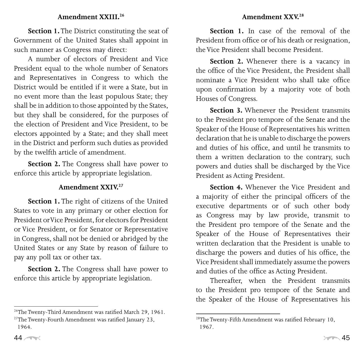#### **Amendment XXIII.26**

**Section 1.** The District constituting the seat of Government of the United States shall appoint in such manner as Congress may direct:

A number of electors of President and Vice President equal to the whole number of Senators and Representatives in Congress to which the District would be entitled if it were a State, but in no event more than the least populous State; they shall be in addition to those appointed by the States, but they shall be considered, for the purposes of the election of President and Vice President, to be electors appointed by a State; and they shall meet in the District and perform such duties as provided by the twelfth article of amendment.

**Section 2.** The Congress shall have power to enforce this article by appropriate legislation.

#### **Amendment XXIV.27**

**Section 1.** The right of citizens of the United States to vote in any primary or other election for President or Vice President, for electors for President or Vice President, or for Senator or Representative in Congress, shall not be denied or abridged by the United States or any State by reason of failure to pay any poll tax or other tax.

**Section 2.** The Congress shall have power to enforce this article by appropriate legislation.

#### **Amendment XXV.28**

**Section 1.** In case of the removal of the President from office or of his death or resignation, the Vice President shall become President.

**Section 2.** Whenever there is a vacancy in the office of the Vice President, the President shall nominate a Vice President who shall take office upon confirmation by a majority vote of both Houses of Congress.

**Section 3.** Whenever the President transmits to the President pro tempore of the Senate and the Speaker of the House of Representatives his written declaration that he is unable to discharge the powers and duties of his office, and until he transmits to them a written declaration to the contrary, such powers and duties shall be discharged by the Vice President as Acting President.

**Section 4.** Whenever the Vice President and a majority of either the principal officers of the executive departments or of such other body as Congress may by law provide, transmit to the President pro tempore of the Senate and the Speaker of the House of Representatives their written declaration that the President is unable to discharge the powers and duties of his office, the Vice President shall immediately assume the powers and duties of the office as Acting President.

Thereafter, when the President transmits to the President pro tempore of the Senate and the Speaker of the House of Representatives his

<sup>26</sup>The Twenty-Third Amendment was ratified March 29, 1961.

<sup>&</sup>lt;sup>27</sup>The Twenty-Fourth Amendment was ratified January 23, 1964.

<sup>28</sup> The Twenty-Fifth Amendment was ratified February 10, 1967.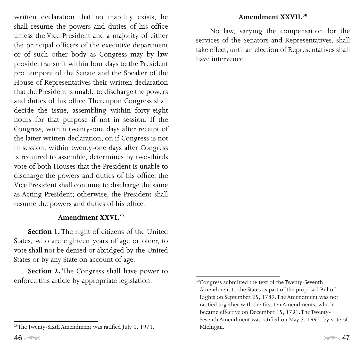written declaration that no inability exists, he shall resume the powers and duties of his office unless the Vice President and a majority of either the principal officers of the executive department or of such other body as Congress may by law provide, transmit within four days to the President pro tempore of the Senate and the Speaker of the House of Representatives their written declaration that the President is unable to discharge the powers and duties of his office. Thereupon Congress shall decide the issue, assembling within forty-eight hours for that purpose if not in session. If the Congress, within twenty-one days after receipt of the latter written declaration, or, if Congress is not in session, within twenty-one days after Congress is required to assemble, determines by two-thirds vote of both Houses that the President is unable to discharge the powers and duties of his office, the Vice President shall continue to discharge the same as Acting President; otherwise, the President shall resume the powers and duties of his office.

### **Amendment XXVI.29**

**Section 1.** The right of citizens of the United States, who are eighteen years of age or older, to vote shall not be denied or abridged by the United States or by any State on account of age.

**Section 2.** The Congress shall have power to enforce this article by appropriate legislation.

No law, varying the compensation for the services of the Senators and Representatives, shall take effect, until an election of Representatives shall have intervened.

<sup>29</sup> The Twenty-Sixth Amendment was ratified July 1, 1971.

<sup>30</sup> Congress submitted the text of the Twenty-Seventh Amendment to the States as part of the proposed Bill of Rights on September 25, 1789. The Amendment was not ratified together with the first ten Amendments, which became effective on December 15, 1791. The Twenty-Seventh Amendment was ratified on May 7, 1992, by vote of Michigan.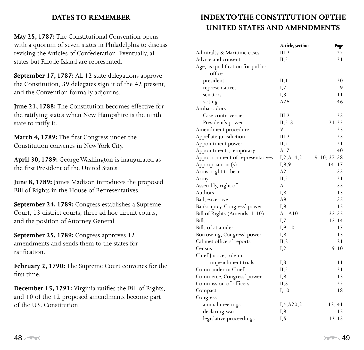#### **DATES TO REMEMBER**

**May 25, 1787:** The Constitutional Convention opens with a quorum of seven states in Philadelphia to discuss revising the Articles of Confederation. Eventually, all states but Rhode Island are represented.

**September 17, 1787:** All 12 state delegations approve the Constitution, 39 delegates sign it of the 42 present, and the Convention formally adjourns.

**June 21, 1788:** The Constitution becomes effective for the ratifying states when New Hampshire is the ninth state to ratify it.

**March 4, 1789:** The first Congress under the Constitution convenes in New York City.

**April 30, 1789:** George Washington is inaugurated as the first President of the United States.

**June 8, 1789:** James Madison introduces the proposed Bill of Rights in the House of Representatives.

**September 24, 1789:** Congress establishes a Supreme Court, 13 district courts, three ad hoc circuit courts, and the position of Attorney General.

**September 25, 1789:** Congress approves 12 amendments and sends them to the states for ratification.

**February 2, 1790:** The Supreme Court convenes for the first time.

**December 15, 1791:** Virginia ratifies the Bill of Rights, and 10 of the 12 proposed amendments become part of the U.S. Constitution.

## **INDEX TO THE CONSTITUTION OF THE united States and amendments**

|                                  | Article, section | Page              |
|----------------------------------|------------------|-------------------|
| Admiralty & Maritime cases       | III, 2           | 22                |
| Advice and consent               | II, 2            | 21                |
| Age, as qualification for public |                  |                   |
| office                           |                  |                   |
| president                        | II,1             | 20                |
| representatives                  | I, 2             | 9                 |
| senators                         | I, 3             | 11                |
| voting                           | A26              | 46                |
| Ambassadors                      |                  |                   |
| Case controversies               | III, 2           | 23                |
| President's power                | $II, 2-3$        | $21 - 22$         |
| Amendment procedure              | V                | 25                |
| Appellate jurisdiction           | III, 2           | 23                |
| Appointment power                | II, 2            | 21                |
| Appointments, temporary          | A17              | 40                |
| Apportionment of representatives | I, 2; A14, 2     | $9 - 10; 37 - 38$ |
| Appropriations(s)                | 1,8,9            | 14, 17            |
| Arms, right to bear              | A2               | 33                |
| Army                             | II, 2            | 21                |
| Assembly, right of               | A1               | 33                |
| Authors                          | I,8              | 15                |
| Bail, excessive                  | A8               | 35                |
| Bankruptcy, Congress' power      | I,8              | 15                |
| Bill of Rights (Amends. 1-10)    | $A1 - A10$       | $33 - 35$         |
| <b>Bills</b>                     | I,7              | $13 - 14$         |
| <b>Bills</b> of attainder        | $I, 9-10$        | 17                |
| Borrowing, Congress' power       | I,8              | 15                |
| Cabinet officers' reports        | II, 2            | 21                |
| Census                           | I, 2             | $9 - 10$          |
| Chief Justice, role in           |                  |                   |
| impeachment trials               | I, 3             | 11                |
| Commander in Chief               | II, 2            | 21                |
| Commerce, Congress' power        | I,8              | 15                |
| Commission of officers           | II,3             | 22                |
| Compact                          | I, 10            | 18                |
| Congress                         |                  |                   |
| annual meetings                  | I, 4; A20, 2     | 12; 41            |
| declaring war                    | Ι,8              | 15                |
| legislative proceedings          | I, 5             | $12 - 13$         |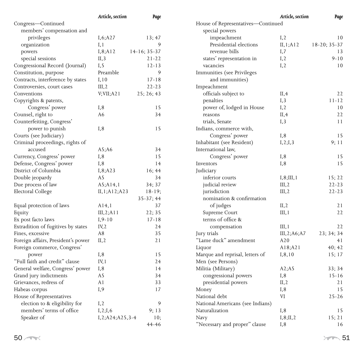|                                    | Article, section      | Page           |                                    | Article, section | Page         |
|------------------------------------|-----------------------|----------------|------------------------------------|------------------|--------------|
| Congress-Continued                 |                       |                | House of Representatives-Continued |                  |              |
| members' compensation and          |                       |                | special powers                     |                  |              |
| privileges                         | I, 6; A27             | 13:47          | impeachment                        | I, 2             | 10           |
| organization                       | I, 1                  | 9              | Presidential elections             | II, 1; A12       | 18-20; 35-37 |
| powers                             | I, 8; A12             | $14-16; 35-37$ | revenue bills                      | I,7              | 13           |
| special sessions                   | II, 3                 | $21 - 22$      | states' representation in          | I, 2             | $9 - 10$     |
| Congressional Record (Journal)     | I, 5                  | $12 - 13$      | vacancies                          | I, 2             | 10           |
| Constitution, purpose              | Preamble              | 9              | Immunities (see Privileges         |                  |              |
| Contracts, interference by states  | I, 10                 | $17 - 18$      | and immunities)                    |                  |              |
| Controversies, court cases         | III, 2                | $22 - 23$      | Impeachment                        |                  |              |
| Conventions                        | V; VII; A21           | 25; 26; 43     | officials subject to               | II, 4            | 22           |
| Copyrights & patents,              |                       |                | penalties                          | I, 3             | $11 - 12$    |
| Congress' power                    | I, 8                  | 15             | power of, lodged in House          | I, 2             | 10           |
| Counsel, right to                  | A6                    | 34             | reasons                            | II, 4            | 22           |
| Counterfeiting, Congress'          |                       |                | trials, Senate                     | I, 3             | 11           |
| power to punish                    | I, 8                  | 15             | Indians, commerce with,            |                  |              |
| Courts (see Judiciary)             |                       |                | Congress' power                    | I,8              | 15           |
| Criminal proceedings, rights of    |                       |                | Inhabitant (see Resident)          | I, 2; I, 3       | 9;11         |
| accused                            | A5;A6                 | 34             | International law,                 |                  |              |
| Currency, Congress' power          | I, 8                  | 15             | Congress' power                    | I, 8             | 15           |
| Defense, Congress' power           | I,8                   | 14             | Inventors                          | I, 8             | 15           |
| District of Columbia               | I, 8; A23             | 16; 44         | Judiciary                          |                  |              |
| Double jeopardy                    | A5                    | 34             | inferior courts                    | I, 8; III, 1     | 15:22        |
| Due process of law                 | A5; A14, 1            | 34;37          | judicial review                    | III, 2           | $22 - 23$    |
| Electoral College                  | II, 1; A12; A23       | $18-19$ ;      | jurisdiction                       | III, 2           | $22 - 23$    |
|                                    |                       | $35-37; 44$    | nomination & confirmation          |                  |              |
| Equal protection of laws           | A14,1                 | 37             | of judges                          | II, 2            | 21           |
| Equity                             | III, 2; A11           | 22; 35         | Supreme Court                      | III, 1           | 22           |
| Ex post facto laws                 | $I, 9-10$             | $17 - 18$      | terms of office &                  |                  |              |
| Extradition of fugitives by states | IV, 2                 | 24             | compensation                       | III, 1           | 22           |
| Fines, excessive                   | A8                    | 35             | Jury trials                        | III, 2; A6; A7   | 23: 34: 34   |
| Foreign affairs, President's power | II, 2                 | 21             | "Lame duck" amendment              | A20              | 41           |
| Foreign commerce, Congress'        |                       |                | Liquor                             | A18;A21          | 40; 42       |
| power                              | I, 8                  | 15             | Marque and reprisal, letters of    | I, 8, 10         | 15; 17       |
| "Full faith and credit" clause     | IV, 1                 | 24             | Men (see Persons)                  |                  |              |
| General welfare, Congress' power   | I, 8                  | 14             | Militia (Military)                 | A2;A5            | 33; 34       |
| Grand jury indictments             | A5                    | 34             | congressional powers               | I, 8             | $15 - 16$    |
| Grievances, redress of             | A1                    | 33             | presidential powers                | II, 2            | 21           |
| Habeas corpus                      | I, 9                  | 17             | Money                              | I, 8             | 15           |
| House of Representatives           |                       |                | National debt                      | VI               | $25 - 26$    |
| election to & eligibility for      | I, 2                  | 9              | National Americans (see Indians)   |                  |              |
| members' terms of office           | I, 2; I, 6            | 9:13           | Naturalization                     | I, 8             | 15           |
| Speaker of                         | $I, 2; A24; A25, 3-4$ | 10:            | Navy                               | I, 8; II, 2      | 15; 21       |
|                                    |                       | 44-46          | "Necessary and proper" clause      | I, 8             | 16           |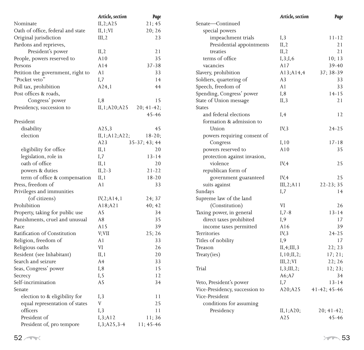|                                   | Article, section   | Page            |
|-----------------------------------|--------------------|-----------------|
| Nominate                          | II, 2; A25         | 21; 45          |
| Oath of office, federal and state | II,1;VI            | 20; 26          |
| Original jurisdiction             | III, 2             | 23              |
| Pardons and reprieves,            |                    |                 |
| President's power                 | II, 2              | 21              |
| People, powers reserved to        | A10                | 35              |
| Persons                           | A14                | $37 - 38$       |
| Petition the government, right to | A1                 | 33              |
| "Pocket veto"                     | I,7                | 14              |
| Poll tax, prohibition             | A24,1              | 44              |
| Post offices & roads,             |                    |                 |
| Congress' power                   | I, 8               | 15              |
| Presidency, succession to         | II, 1; A20; A25    | $20; 41-42;$    |
|                                   |                    | $45 - 46$       |
| President                         |                    |                 |
| disability                        | A <sub>25</sub> ,3 | 45              |
| election                          | II, 1; A12; A22;   | $18 - 20;$      |
|                                   | A23                | $35-37; 43; 44$ |
| eligibility for office            | II, 1              | 20              |
| legislation, role in              | I,7                | $13 - 14$       |
| oath of office                    | II,1               | 20              |
| powers & duties                   | $II, 2-3$          | $21 - 22$       |
| term of office & compensation     | II, 1              | $18 - 20$       |
| Press, freedom of                 | A1                 | 33              |
| Privileges and immunities         |                    |                 |
| (of citizens)                     | IV, 2; A14, 1      | 24; 37          |
| Prohibition                       | A18;A21            | 40; 42          |
| Property, taking for public use   | A5                 | 34              |
| Punishments, cruel and unusual    | A8                 | 35              |
| Race                              | A15                | 39              |
| Ratification of Constitution      | V;VII              | 25; 26          |
| Religion, freedom of              | A1                 | 33              |
| Religious oaths                   | VI                 | 26              |
| Resident (see Inhabitant)         | II,1               | 20              |
| Search and seizure                | A4                 | 33              |
| Seas, Congress' power             | I,8                | 15              |
| Secrecy                           | I, 5               | 12              |
| Self-incrimination                | A5                 | 34              |
| Senate                            |                    |                 |
| election to & eligibility for     | I, 3               | 11              |
| equal representation of states    | V                  | 25              |
| officers                          | I, 3               | 11              |
| President of                      | I, 3; A12          | 11;36           |
| President of, pro tempore         | I, 3; A 25, 3-4    | 11; 45-46       |

| Senate—Continued               |                                  |
|--------------------------------|----------------------------------|
|                                |                                  |
| special powers                 |                                  |
| impeachment trials             | I, 3<br>$11 - 12$                |
| Presidential appointments      | 2.1<br>II, 2                     |
| treaties                       | II, 2<br>21                      |
| terms of office                | I, 3; I, 6<br>10; 13             |
| vacancies                      | A17<br>$39 - 40$                 |
| Slavery, prohibition           | 37; 38-39<br>A13;A14,4           |
| Soldiers, quartering of        | A <sub>3</sub><br>33             |
| Speech, freedom of             | 33<br>A1                         |
| Spending, Congress' power      | I,8<br>$14 - 15$                 |
| State of Union message         | 21<br>II, 3                      |
| <b>States</b>                  |                                  |
| and federal elections          | I, 4<br>12                       |
| formation & admission to       |                                  |
| Union                          | $24 - 25$<br>IV, 3               |
| powers requiring consent of    |                                  |
| Congress                       | I, 10<br>$17 - 18$               |
| powers reserved to             | A10<br>35                        |
| protection against invasion,   |                                  |
| violence                       | 25<br>IV,4                       |
| republican form of             |                                  |
| government guaranteed          | IV, 4<br>25                      |
| suits against                  | III, 2; A11<br>$22 - 23:35$      |
| Sundays                        | I,7<br>14                        |
| Supreme law of the land        |                                  |
| (Constitution)                 | VI<br>26                         |
| Taxing power, in general       | $13 - 14$<br>$I, 7-8$            |
| direct taxes prohibited        | I,9<br>17                        |
| income taxes permitted         | A16<br>39                        |
| Territories                    | IV <sub>3</sub><br>$24 - 25$     |
| Titles of nobility             | I,9<br>17                        |
| Treason                        | 22; 23<br>II, 4; III, 3          |
| Treaty(ies)                    | I, 10; II, 2;<br>17; 21;         |
|                                | III, 2; VI<br>22; 26             |
| Trial                          | I, 3; III, 2;<br>12; 23;         |
|                                | A6;A7<br>34                      |
| Veto, President's power        | I,7<br>$13 - 14$                 |
| Vice-Presidency, succession to | A20;A25<br>$41 - 42$ ; $45 - 46$ |
| Vice-President                 |                                  |
| conditions for assuming        |                                  |
| Presidency                     | II, 1; A20;<br>$20; 41-42;$      |
|                                | A <sub>25</sub><br>$45 - 46$     |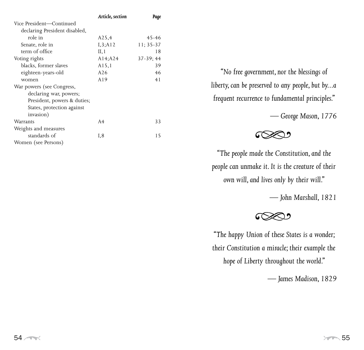|                               | Article, section   | Page       |
|-------------------------------|--------------------|------------|
| Vice President-Continued      |                    |            |
| declaring President disabled, |                    |            |
| role in                       | A <sub>25</sub> ,4 | $45 - 46$  |
| Senate, role in               | I, 3; A12          | $11:35-37$ |
| term of office                | II, 1              | 18         |
| Voting rights                 | A14;A24            | $37-39;44$ |
| blacks, former slaves         | A15,1              | 39         |
| eighteen-years-old            | A26                | 46         |
| women                         | A19                | 41         |
| War powers (see Congress,     |                    |            |
| declaring war, powers;        |                    |            |
| President, powers & duties;   |                    |            |
| States, protection against    |                    |            |
| invasion)                     |                    |            |
| Warrants                      | A <sub>4</sub>     | 33         |
| Weights and measures          |                    |            |
| standards of                  | I,8                | 15         |
| Women (see Persons)           |                    |            |

*"No free government, nor the blessings of liberty, can be preserved to any people, but by...a frequent recurrence to fundamental principles."* 

*— George Mason, 1776*



*"The people made the Constitution, and the people can unmake it. It is the creature of their own will, and lives only by their will."*

*— John Marshall, 1821*



*"The happy Union of these States is a wonder; their Constitution a miracle; their example the hope of Liberty throughout the world."* 

*— James Madison, 1829*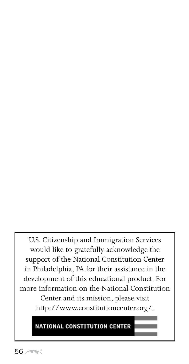U.S. Citizenship and Immigration Services would like to gratefully acknowledge the support of the National Constitution Center in Philadelphia, PA for their assistance in the development of this educational product. For more information on the National Constitution Center and its mission, please visit http://www.constitutioncenter.org/.